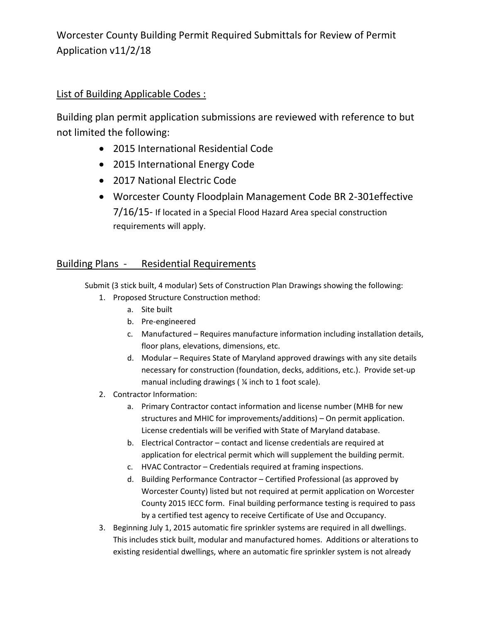Worcester County Building Permit Required Submittals for Review of Permit Application v11/2/18

## List of Building Applicable Codes :

Building plan permit application submissions are reviewed with reference to but not limited the following:

- 2015 International Residential Code
- 2015 International Energy Code
- 2017 National Electric Code
- Worcester County Floodplain Management Code BR 2-301effective 7/16/15- If located in a Special Flood Hazard Area special construction requirements will apply.

## Building Plans - Residential Requirements

Submit (3 stick built, 4 modular) Sets of Construction Plan Drawings showing the following:

- 1. Proposed Structure Construction method:
	- a. Site built
	- b. Pre-engineered
	- c. Manufactured Requires manufacture information including installation details, floor plans, elevations, dimensions, etc.
	- d. Modular Requires State of Maryland approved drawings with any site details necessary for construction (foundation, decks, additions, etc.). Provide set-up manual including drawings ( ¼ inch to 1 foot scale).
- 2. Contractor Information:
	- a. Primary Contractor contact information and license number (MHB for new structures and MHIC for improvements/additions) – On permit application. License credentials will be verified with State of Maryland database.
	- b. Electrical Contractor contact and license credentials are required at application for electrical permit which will supplement the building permit.
	- c. HVAC Contractor Credentials required at framing inspections.
	- d. Building Performance Contractor Certified Professional (as approved by Worcester County) listed but not required at permit application on Worcester County 2015 IECC form. Final building performance testing is required to pass by a certified test agency to receive Certificate of Use and Occupancy.
- 3. Beginning July 1, 2015 automatic fire sprinkler systems are required in all dwellings. This includes stick built, modular and manufactured homes. Additions or alterations to existing residential dwellings, where an automatic fire sprinkler system is not already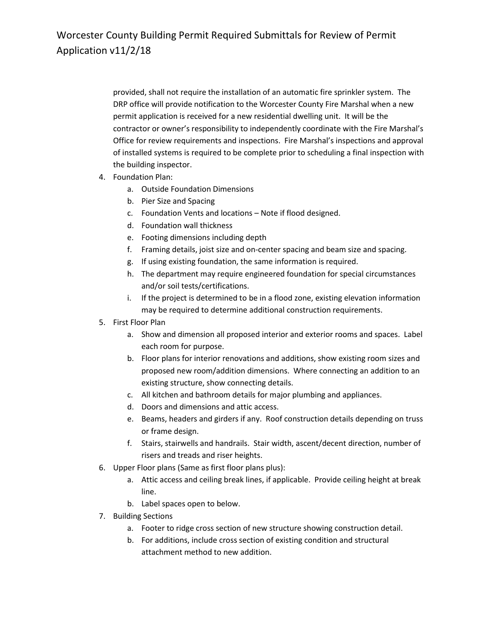# Worcester County Building Permit Required Submittals for Review of Permit Application v11/2/18

provided, shall not require the installation of an automatic fire sprinkler system. The DRP office will provide notification to the Worcester County Fire Marshal when a new permit application is received for a new residential dwelling unit. It will be the contractor or owner's responsibility to independently coordinate with the Fire Marshal's Office for review requirements and inspections. Fire Marshal's inspections and approval of installed systems is required to be complete prior to scheduling a final inspection with the building inspector.

- 4. Foundation Plan:
	- a. Outside Foundation Dimensions
	- b. Pier Size and Spacing
	- c. Foundation Vents and locations Note if flood designed.
	- d. Foundation wall thickness
	- e. Footing dimensions including depth
	- f. Framing details, joist size and on-center spacing and beam size and spacing.
	- g. If using existing foundation, the same information is required.
	- h. The department may require engineered foundation for special circumstances and/or soil tests/certifications.
	- i. If the project is determined to be in a flood zone, existing elevation information may be required to determine additional construction requirements.
- 5. First Floor Plan
	- a. Show and dimension all proposed interior and exterior rooms and spaces. Label each room for purpose.
	- b. Floor plans for interior renovations and additions, show existing room sizes and proposed new room/addition dimensions. Where connecting an addition to an existing structure, show connecting details.
	- c. All kitchen and bathroom details for major plumbing and appliances.
	- d. Doors and dimensions and attic access.
	- e. Beams, headers and girders if any. Roof construction details depending on truss or frame design.
	- f. Stairs, stairwells and handrails. Stair width, ascent/decent direction, number of risers and treads and riser heights.
- 6. Upper Floor plans (Same as first floor plans plus):
	- a. Attic access and ceiling break lines, if applicable. Provide ceiling height at break line.
	- b. Label spaces open to below.
- 7. Building Sections
	- a. Footer to ridge cross section of new structure showing construction detail.
	- b. For additions, include cross section of existing condition and structural attachment method to new addition.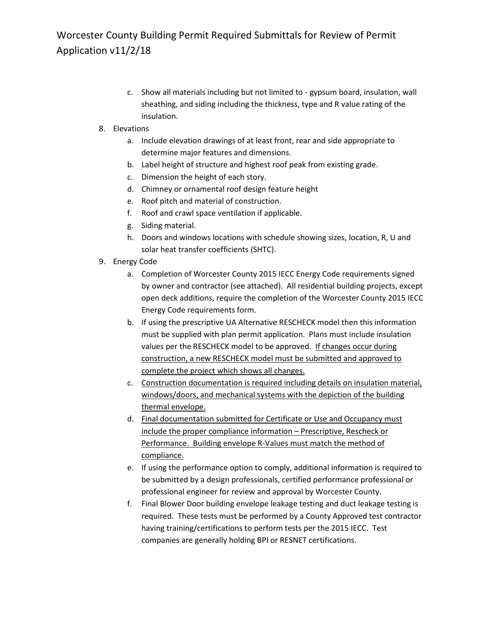# Worcester County Building Permit Required Submittals for Review of Permit Application v11/2/18

- c. Show all materials including but not limited to gypsum board, insulation, wall sheathing, and siding including the thickness, type and R value rating of the insulation.
- 8. Elevations
	- a. Include elevation drawings of at least front, rear and side appropriate to determine major features and dimensions.
	- b. Label height of structure and highest roof peak from existing grade.
	- c. Dimension the height of each story.
	- d. Chimney or ornamental roof design feature height
	- e. Roof pitch and material of construction.
	- f. Roof and crawl space ventilation if applicable.
	- g. Siding material.
	- h. Doors and windows locations with schedule showing sizes, location, R, U and solar heat transfer coefficients (SHTC).
- 9. Energy Code
	- a. Completion of Worcester County 2015 IECC Energy Code requirements signed by owner and contractor (see attached). All residential building projects, except open deck additions, require the completion of the Worcester County 2015 IECC Energy Code requirements form.
	- b. If using the prescriptive UA Alternative RESCHECK model then this information must be supplied with plan permit application. Plans must include insulation values per the RESCHECK model to be approved. If changes occur during construction, a new RESCHECK model must be submitted and approved to complete the project which shows all changes.
	- c. Construction documentation is required including details on insulation material, windows/doors, and mechanical systems with the depiction of the building thermal envelope.
	- d. Final documentation submitted for Certificate or Use and Occupancy must include the proper compliance information – Prescriptive, Rescheck or Performance. Building envelope R-Values must match the method of compliance.
	- e. If using the performance option to comply, additional information is required to be submitted by a design professionals, certified performance professional or professional engineer for review and approval by Worcester County.
	- f. Final Blower Door building envelope leakage testing and duct leakage testing is required. These tests must be performed by a County Approved test contractor having training/certifications to perform tests per the 2015 IECC. Test companies are generally holding BPI or RESNET certifications.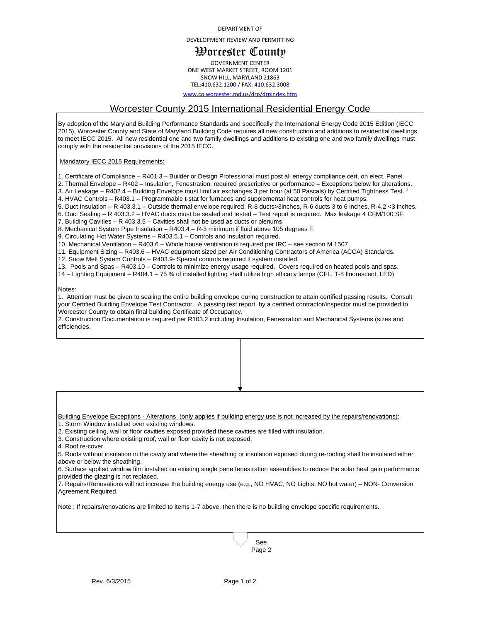#### DEPARTMENT OF

DEVELOPMENT REVIEW AND PERMITTING

### Worcester County

GOVERNMENT CENTER ONE WEST MARKET STREET, ROOM 1201 SNOW HILL, MARYLAND 21863 TEL:410.632.1200 / FAX: 410.632.3008

www.co.worcester.md.us/drp/drpindex.htm

#### Worcester County 2015 International Residential Energy Code

By adoption of the Maryland Building Performance Standards and specifically the International Energy Code 2015 Edition (IECC 2015), Worcester County and State of Maryland Building Code requires all new construction and additions to residential dwellings to meet IECC 2015. All new residential one and two family dwellings and additions to existing one and two family dwellings must comply with the residential provisions of the 2015 IECC.

Mandatory IECC 2015 Requirements:

1. Certificate of Compliance – R401.3 – Builder or Design Professional must post all energy compliance cert. on elect. Panel.

2. Thermal Envelope – R402 – Insulation, Fenestration, required prescriptive or performance – Exceptions below for alterations.

3. Air Leakage – R402.4 – Building Envelope must limit air exchanges 3 per hour (at 50 Pascals) by Certified Tightness Test. <sup>1</sup>

4. HVAC Controls – R403.1 – Programmable t-stat for furnaces and supplemental heat controls for heat pumps.

- 5. Duct Insulation R 403.3.1 Outside thermal envelope required. R-8 ducts>3inches, R-6 ducts 3 to 6 inches, R-4.2 <3 inches.
- 6. Duct Sealing R 403.3.2 HVAC ducts must be sealed and tested Test report is required. Max leakage 4 CFM/100 SF.
- 7. Building Cavities R 403.3.5 Cavities shall not be used as ducts or plenums.
- 8. Mechanical System Pipe Insulation R403.4 R-3 minimum if fluid above 105 degrees F.
- 9. Circulating Hot Water Systems R403.5.1 Controls and insulation required.
- 10. Mechanical Ventilation R403.6 Whole house ventilation is required per IRC see section M 1507.
- 11. Equipment Sizing R403.6 HVAC equipment sized per Air Conditioning Contractors of America (ACCA) Standards.
- 12. Snow Melt System Controls R403.9- Special controls required if system installed.

13. Pools and Spas – R403.10 – Controls to minimize energy usage required. Covers required on heated pools and spas.

14 – Lighting Equipment – R404.1 – 75 % of installed lighting shall utilize high efficacy lamps (CFL, T-8 fluorescent, LED)

Notes:

1. Attention must be given to sealing the entire building envelope during construction to attain certified passing results. Consult your Certified Building Envelope Test Contractor. A passing test report by a certified contractor/inspector must be provided to Worcester County to obtain final building Certificate of Occupancy.

2. Construction Documentation is required per R103.2 including Insulation, Fenestration and Mechanical Systems (sizes and efficiencies.

Building Envelope Exceptions - Alterations (only applies if building energy use is not increased by the repairs/renovations): 1. Storm Window installed over existing windows.

2. Existing ceiling, wall or floor cavities exposed provided these cavities are filled with insulation.

3. Construction where existing roof, wall or floor cavity is not exposed.

4. Roof re-cover.

5. Roofs without insulation in the cavity and where the sheathing or insulation exposed during re-roofing shall be insulated either above or below the sheathing.

6. Surface applied window film installed on existing single pane fenestration assemblies to reduce the solar heat gain performance provided the glazing is not replaced.

7. Repairs/Renovations will not increase the building energy use (e.g., NO HVAC, NO Lights, NO hot water) – NON- Conversion Agreement Required.

Note : If repairs/renovations are limited to items 1-7 above, then there is no building envelope specific requirements.